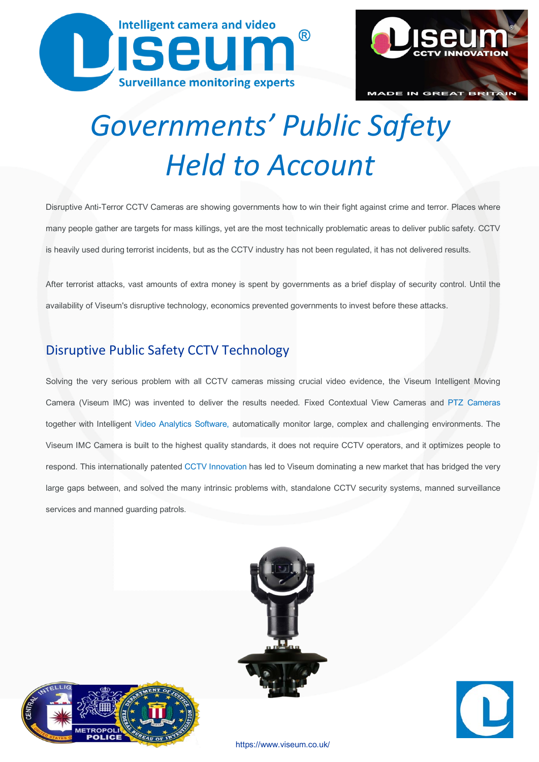



# *Governments' Public Safety Held to Account*

Disruptive Anti-Terror CCTV Cameras are showing governments how to win their fight against crime and terror. Places where many people gather are targets for mass killings, yet are the most technically problematic areas to deliver public safety. CCTV is heavily used during terrorist incidents, but as the CCTV industry has not been regulated, it has not delivered results.

After terrorist attacks, vast amounts of extra money is spent by governments as a brief display of security control. Until the availability of Viseum's disruptive technology, economics prevented governments to invest before these attacks.

#### Disruptive Public Safety CCTV [Technology](http://www.viseum.co.uk/downloads/safe-cities-business-case.pdf)

Solving the very serious problem with all CCTV cameras missing crucial video evidence, the Viseum Intelligent Moving Camera (Viseum IMC) was invented to deliver the results needed. Fixed Contextual View Cameras and [PTZ Cameras](https://www.viseum.co.uk/cctv-product-solutions/best-ptz-camera/) together with Intelligent Video Analytics [Software,](https://www.viseum.co.uk/cctv-product-solutions/video-analytics-software/) automatically monitor large, complex and challenging environments. The Viseum IMC Camera is built to the highest quality standards, it does not require CCTV operators, and it optimizes people to respond. This internationally patented [CCTV Innovation](https://www.viseum.co.uk/about-us/cctv-innovations/) has led to Viseum dominating a new market that has bridged the very large gaps between, and solved the many intrinsic problems with, standalone CCTV security systems, manned surveillance services and manned guarding patrols.







<https://www.viseum.co.uk/>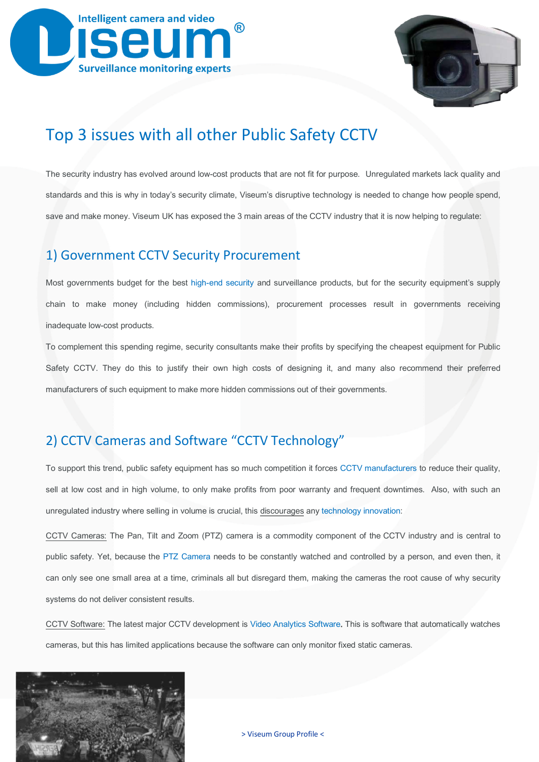



## [Top 3 issues with all other](http://www.viseum.co.uk/company-news/government-public-safety/) Public Safety CCTV

The security industry has evolved around low-cost products that are not fit for purpose. Unregulated markets lack quality and standards and this is why in today's security climate, Viseum's disruptive technology is needed to change how people spend, save and make money. Viseum UK has exposed the 3 main areas of the CCTV industry that it is now helping to regulate:

#### 1) Government [CCTV Security](http://www.viseum.co.uk/about-us/security-consultancy/) Procurement

Most governments budget for the best [high-end security](https://www.viseum.co.uk/safe-cities/high-end-security-cameras/) and surveillance products, but for the security equipment's supply chain to make money (including hidden commissions), procurement processes result in governments receiving inadequate low-cost products.

To complement this spending regime, security consultants make their profits by specifying the cheapest equipment for Public Safety CCTV. They do this to justify their own high costs of designing it, and many also recommend their preferred manufacturers of such equipment to make more hidden commissions out of their governments.

### 2) CCTV Cameras and Software "CCTV [Technology"](https://www.viseum.co.uk/cctv-technology/)

To support this trend, public safety equipment has so much competition it forces [CCTV manufacturers](https://www.viseum.co.uk/downloads/viseum-certified-technology-partner-program.pdf) to reduce their quality, sell at low cost and in high volume, to only make profits from poor warranty and frequent downtimes. Also, with such an unregulated industry where selling in volume is crucial, this discourages an[y technology](https://www.viseum.co.uk/about-us/cctv-innovations/) innovation:

CCTV Cameras: The Pan, Tilt and Zoom (PTZ) camera is a commodity component of the CCTV industry and is central to public safety. Yet, because the [PTZ Camera](https://www.viseum.co.uk/cctv-product-solutions/best-ptz-camera/) needs to be constantly watched and controlled by a person, and even then, it can only see one small area at a time, criminals all but disregard them, making the cameras the root cause of why security systems do not deliver consistent results.

CCTV Software: The latest major CCTV development is Video Analytics [Software.](https://www.viseum.co.uk/cctv-product-solutions/video-analytics-software/) This is software that automatically watches cameras, but this has limited applications because the software can only monitor fixed static cameras.

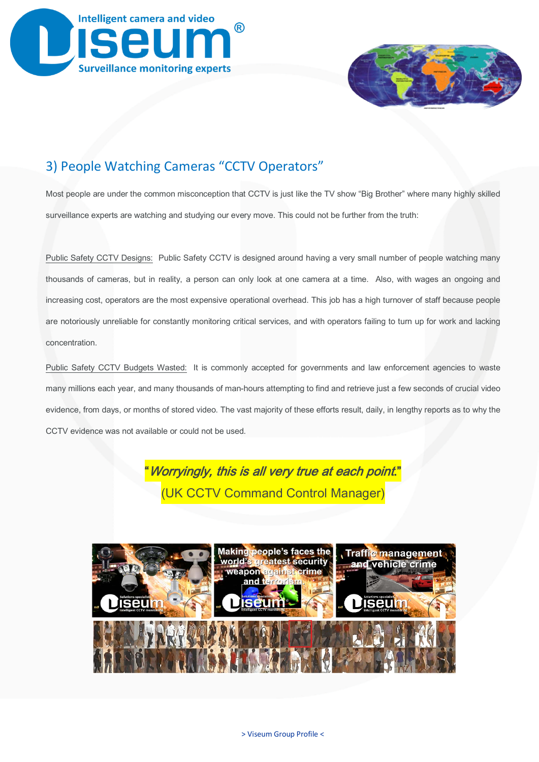



#### 3) People Watching Cameras "CCTV Operators"

Most people are under the common misconception that CCTV is just like the TV show "Big Brother" where many highly skilled surveillance experts are watching and studying our every move. This could not be further from the truth:

Public Safety CCTV Designs: Public Safety CCTV is designed around having a very small number of people watching many thousands of cameras, but in reality, a person can only look at one camera at a time. Also, with wages an ongoing and increasing cost, operators are the most expensive operational overhead. This job has a high turnover of staff because people are notoriously unreliable for constantly monitoring critical services, and with operators failing to turn up for work and lacking concentration.

Public Safety CCTV Budgets Wasted: It is commonly accepted for governments and law enforcement agencies to waste many millions each year, and many thousands of man-hours attempting to find and retrieve just a few seconds of crucial video evidence, from days, or months of stored video. The vast majority of these efforts result, daily, in lengthy reports as to why the CCTV evidence was not available or could not be used.



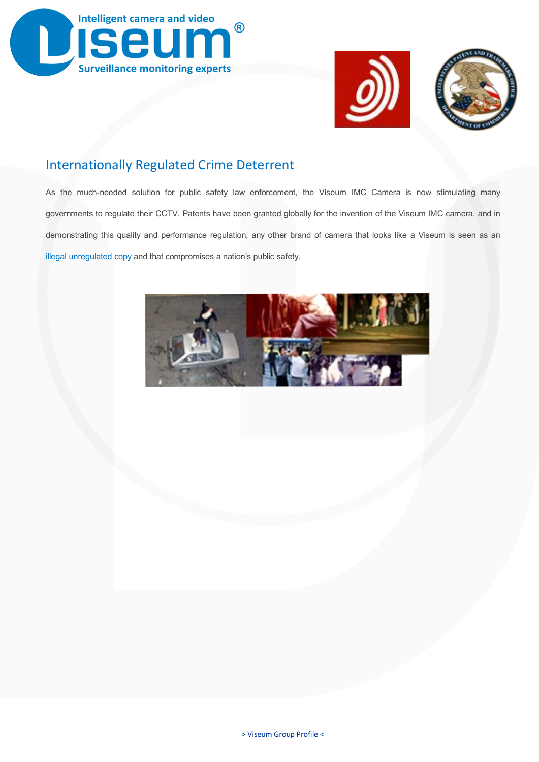





#### Internationally Regulated Crime Deterrent

As the much-needed solution for public safety law enforcement, the Viseum IMC Camera is now stimulating many governments to regulate their CCTV. Patents have been granted globally for the invention of the Viseum IMC camera, and in demonstrating this quality and performance regulation, any other brand of camera that looks like a Viseum is seen as an illegal [unregulated](https://www.viseum.co.uk/about-us/patent-validity-2016/) copy and that compromises a nation's public safety.